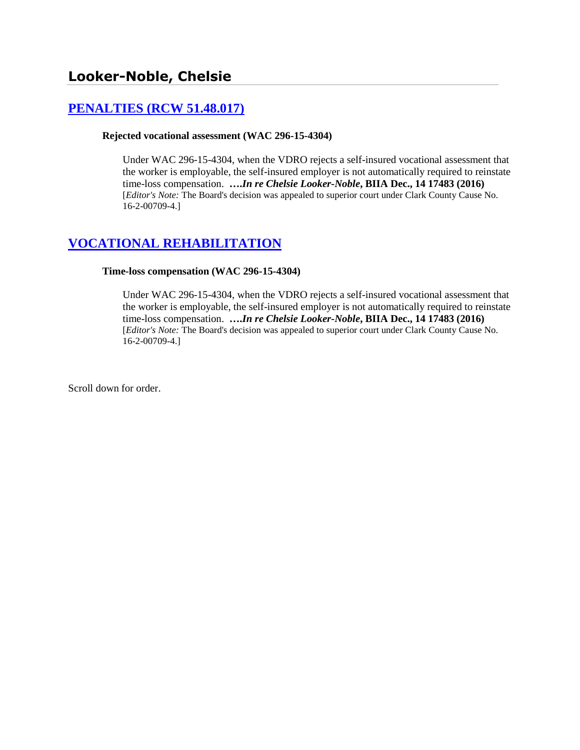# **[PENALTIES \(RCW 51.48.017\)](http://www.biia.wa.gov/SDSubjectIndex.html#PENALTIES)**

### **Rejected vocational assessment (WAC 296-15-4304)**

Under WAC 296-15-4304, when the VDRO rejects a self-insured vocational assessment that the worker is employable, the self-insured employer is not automatically required to reinstate time-loss compensation. **….***In re Chelsie Looker-Noble***, BIIA Dec., 14 17483 (2016)**  [*Editor's Note:* The Board's decision was appealed to superior court under Clark County Cause No. 16-2-00709-4.]

## **[VOCATIONAL REHABILITATION](http://www.biia.wa.gov/SDSubjectIndex.html#VOCATIONAL_REHABILITATION)**

#### **Time-loss compensation (WAC 296-15-4304)**

Under WAC 296-15-4304, when the VDRO rejects a self-insured vocational assessment that the worker is employable, the self-insured employer is not automatically required to reinstate time-loss compensation. **….***In re Chelsie Looker-Noble***, BIIA Dec., 14 17483 (2016)**  [*Editor's Note:* The Board's decision was appealed to superior court under Clark County Cause No. 16-2-00709-4.]

Scroll down for order.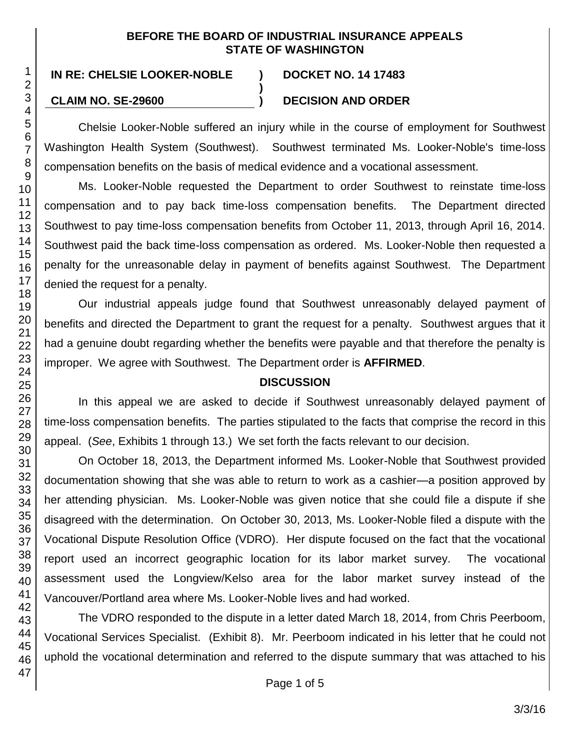## **BEFORE THE BOARD OF INDUSTRIAL INSURANCE APPEALS STATE OF WASHINGTON**

**)**

# **IN RE: CHELSIE LOOKER-NOBLE ) DOCKET NO. 14 17483**

## **CLAIM NO. SE-29600 ) DECISION AND ORDER**

Chelsie Looker-Noble suffered an injury while in the course of employment for Southwest Washington Health System (Southwest). Southwest terminated Ms. Looker-Noble's time-loss compensation benefits on the basis of medical evidence and a vocational assessment.

Ms. Looker-Noble requested the Department to order Southwest to reinstate time-loss compensation and to pay back time-loss compensation benefits. The Department directed Southwest to pay time-loss compensation benefits from October 11, 2013, through April 16, 2014. Southwest paid the back time-loss compensation as ordered. Ms. Looker-Noble then requested a penalty for the unreasonable delay in payment of benefits against Southwest. The Department denied the request for a penalty.

Our industrial appeals judge found that Southwest unreasonably delayed payment of benefits and directed the Department to grant the request for a penalty. Southwest argues that it had a genuine doubt regarding whether the benefits were payable and that therefore the penalty is improper. We agree with Southwest. The Department order is **AFFIRMED**.

## **DISCUSSION**

In this appeal we are asked to decide if Southwest unreasonably delayed payment of time-loss compensation benefits. The parties stipulated to the facts that comprise the record in this appeal. (*See*, Exhibits 1 through 13.) We set forth the facts relevant to our decision.

On October 18, 2013, the Department informed Ms. Looker-Noble that Southwest provided documentation showing that she was able to return to work as a cashier—a position approved by her attending physician. Ms. Looker-Noble was given notice that she could file a dispute if she disagreed with the determination. On October 30, 2013, Ms. Looker-Noble filed a dispute with the Vocational Dispute Resolution Office (VDRO). Her dispute focused on the fact that the vocational report used an incorrect geographic location for its labor market survey. The vocational assessment used the Longview/Kelso area for the labor market survey instead of the Vancouver/Portland area where Ms. Looker-Noble lives and had worked.

The VDRO responded to the dispute in a letter dated March 18, 2014, from Chris Peerboom, Vocational Services Specialist. (Exhibit 8). Mr. Peerboom indicated in his letter that he could not uphold the vocational determination and referred to the dispute summary that was attached to his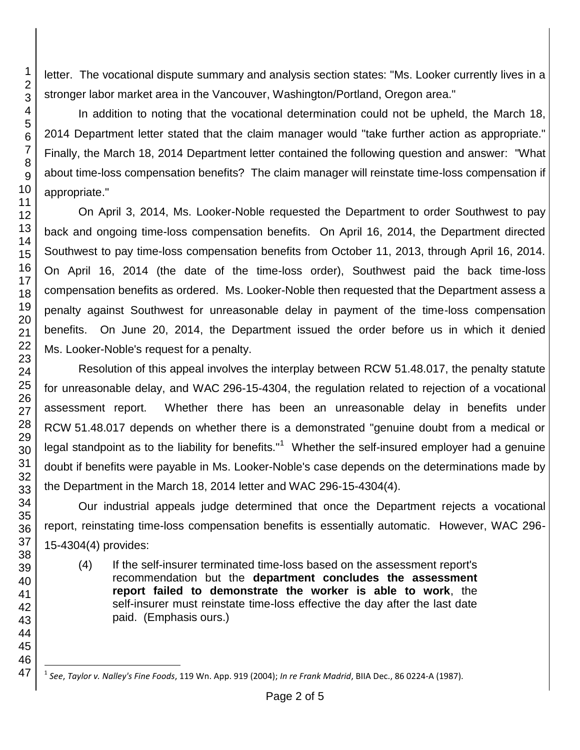letter. The vocational dispute summary and analysis section states: "Ms. Looker currently lives in a stronger labor market area in the Vancouver, Washington/Portland, Oregon area."

In addition to noting that the vocational determination could not be upheld, the March 18, 2014 Department letter stated that the claim manager would "take further action as appropriate." Finally, the March 18, 2014 Department letter contained the following question and answer: "What about time-loss compensation benefits? The claim manager will reinstate time-loss compensation if appropriate."

On April 3, 2014, Ms. Looker-Noble requested the Department to order Southwest to pay back and ongoing time-loss compensation benefits. On April 16, 2014, the Department directed Southwest to pay time-loss compensation benefits from October 11, 2013, through April 16, 2014. On April 16, 2014 (the date of the time-loss order), Southwest paid the back time-loss compensation benefits as ordered. Ms. Looker-Noble then requested that the Department assess a penalty against Southwest for unreasonable delay in payment of the time-loss compensation benefits. On June 20, 2014, the Department issued the order before us in which it denied Ms. Looker-Noble's request for a penalty.

Resolution of this appeal involves the interplay between RCW 51.48.017, the penalty statute for unreasonable delay, and WAC 296-15-4304, the regulation related to rejection of a vocational assessment report. Whether there has been an unreasonable delay in benefits under RCW 51.48.017 depends on whether there is a demonstrated "genuine doubt from a medical or legal standpoint as to the liability for benefits."<sup>1</sup> Whether the self-insured employer had a genuine doubt if benefits were payable in Ms. Looker-Noble's case depends on the determinations made by the Department in the March 18, 2014 letter and WAC 296-15-4304(4).

Our industrial appeals judge determined that once the Department rejects a vocational report, reinstating time-loss compensation benefits is essentially automatic. However, WAC 296- 15-4304(4) provides:

(4) If the self-insurer terminated time-loss based on the assessment report's recommendation but the **department concludes the assessment report failed to demonstrate the worker is able to work**, the self-insurer must reinstate time-loss effective the day after the last date paid. (Emphasis ours.)

1

l 1 *See*, *Taylor v. Nalley's Fine Foods*, 119 Wn. App. 919 (2004); *In re Frank Madrid*, BIIA Dec., 86 0224-A (1987).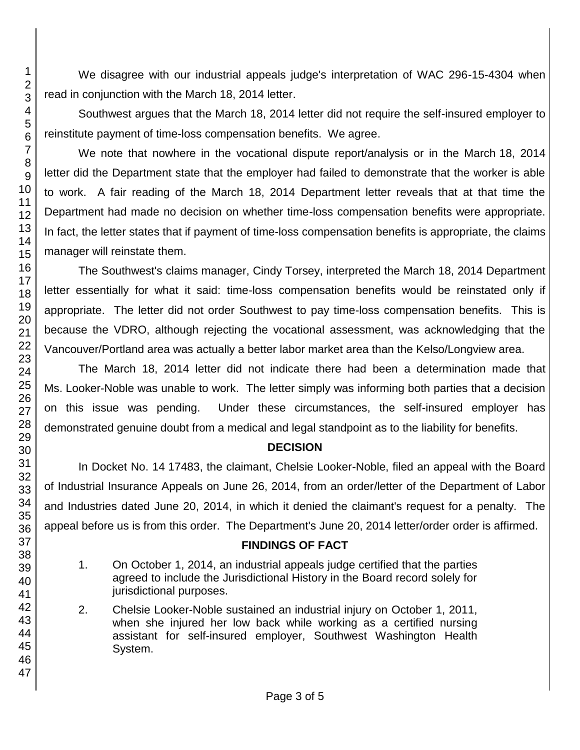We disagree with our industrial appeals judge's interpretation of WAC 296-15-4304 when read in conjunction with the March 18, 2014 letter.

Southwest argues that the March 18, 2014 letter did not require the self-insured employer to reinstitute payment of time-loss compensation benefits. We agree.

We note that nowhere in the vocational dispute report/analysis or in the March 18, 2014 letter did the Department state that the employer had failed to demonstrate that the worker is able to work. A fair reading of the March 18, 2014 Department letter reveals that at that time the Department had made no decision on whether time-loss compensation benefits were appropriate. In fact, the letter states that if payment of time-loss compensation benefits is appropriate, the claims manager will reinstate them.

The Southwest's claims manager, Cindy Torsey, interpreted the March 18, 2014 Department letter essentially for what it said: time-loss compensation benefits would be reinstated only if appropriate. The letter did not order Southwest to pay time-loss compensation benefits. This is because the VDRO, although rejecting the vocational assessment, was acknowledging that the Vancouver/Portland area was actually a better labor market area than the Kelso/Longview area.

The March 18, 2014 letter did not indicate there had been a determination made that Ms. Looker-Noble was unable to work. The letter simply was informing both parties that a decision on this issue was pending. Under these circumstances, the self-insured employer has demonstrated genuine doubt from a medical and legal standpoint as to the liability for benefits.

## **DECISION**

In Docket No. 14 17483, the claimant, Chelsie Looker-Noble, filed an appeal with the Board of Industrial Insurance Appeals on June 26, 2014, from an order/letter of the Department of Labor and Industries dated June 20, 2014, in which it denied the claimant's request for a penalty. The appeal before us is from this order. The Department's June 20, 2014 letter/order order is affirmed.

## **FINDINGS OF FACT**

- 1. On October 1, 2014, an industrial appeals judge certified that the parties agreed to include the Jurisdictional History in the Board record solely for jurisdictional purposes.
- 2. Chelsie Looker-Noble sustained an industrial injury on October 1, 2011, when she injured her low back while working as a certified nursing assistant for self-insured employer, Southwest Washington Health System.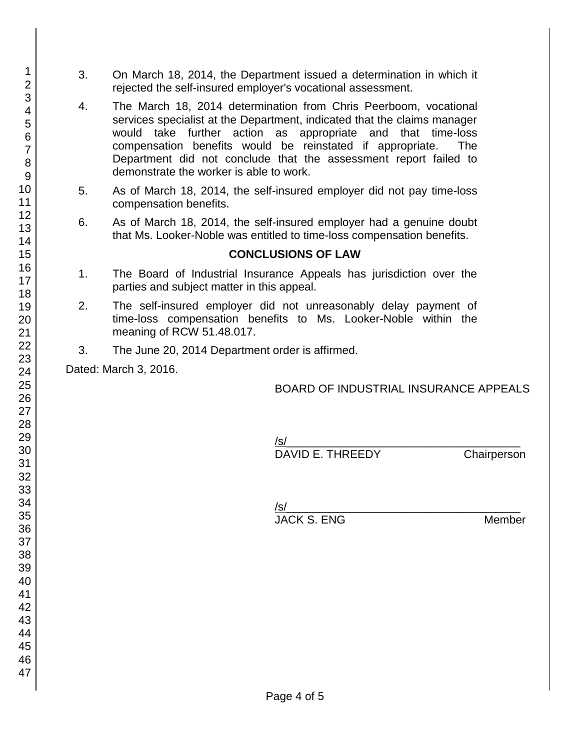- 3. On March 18, 2014, the Department issued a determination in which it rejected the self-insured employer's vocational assessment.
- 4. The March 18, 2014 determination from Chris Peerboom, vocational services specialist at the Department, indicated that the claims manager would take further action as appropriate and that time-loss compensation benefits would be reinstated if appropriate. The Department did not conclude that the assessment report failed to demonstrate the worker is able to work.
- 5. As of March 18, 2014, the self-insured employer did not pay time-loss compensation benefits.
- 6. As of March 18, 2014, the self-insured employer had a genuine doubt that Ms. Looker-Noble was entitled to time-loss compensation benefits.

## **CONCLUSIONS OF LAW**

- 1. The Board of Industrial Insurance Appeals has jurisdiction over the parties and subject matter in this appeal.
- 2. The self-insured employer did not unreasonably delay payment of time-loss compensation benefits to Ms. Looker-Noble within the meaning of RCW 51.48.017.
- 3. The June 20, 2014 Department order is affirmed.

Dated: March 3, 2016.

## BOARD OF INDUSTRIAL INSURANCE APPEALS

/s/ DAVID E. THREEDY Chairperson

| /s/         |        |
|-------------|--------|
| JACK S. ENG | Member |